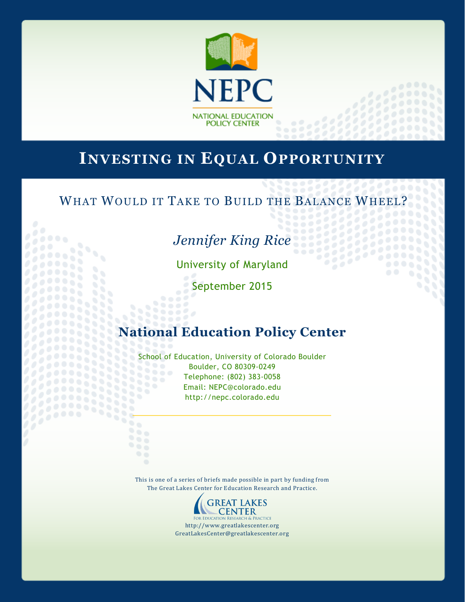

# **INVESTING IN EQUAL OPPORTUNITY**

# WHAT WOULD IT TAKE TO BUILD THE BALANCE WHEEL

69

33333

# *Jennifer King Rice*

 $\frac{1}{2}$ 

69

o

University of Maryland

September 2015

 $\bullet \bullet \bullet^\mathscr{O}$  $0.000$ 

95

88

# **National Education Policy Center**

School of Education, University of Colorado Boulder 88 Boulder, CO 80309-0249 Telephone: (802) 383-0058 88 Email: NEPC@colorado.edu http://nepc.colorado.edu

This is one of a series of briefs made possible in part by funding from The Great Lakes Center for Education Research and Practice.



**FOR EDUCATION RESEARCH & PRACTICE** http://www.greatlakescenter.org GreatLakesCenter@greatlakescenter.org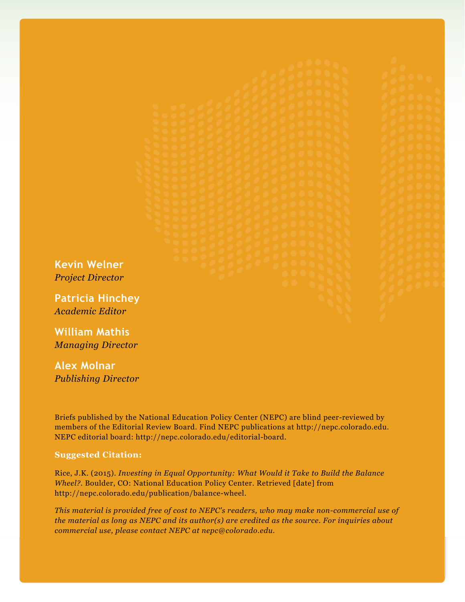**Kevin Welner** *Project Director*

**Patricia Hinchey** *Academic Editor*

**William Mathis** *Managing Director*

**Alex Molnar** *Publishing Director*

Briefs published by the National Education Policy Center (NEPC) are blind peer-reviewed by members of the Editorial Review Board. Find NEPC publications at http://nepc.colorado.edu. NEPC editorial board: http://nepc.colorado.edu/editorial-board.

#### **Suggested Citation:**

Rice, J.K. (2015). *Investing in Equal Opportunity: What Would it Take to Build the Balance Wheel?*. Boulder, CO: National Education Policy Center. Retrieved [date] from http://nepc.colorado.edu/publication/balance-wheel.

*This material is provided free of cost to NEPC's readers, who may make non-commercial use of the material as long as NEPC and its author(s) are credited as the source. For inquiries about commercial use, please contact NEPC at nepc@colorado.edu.*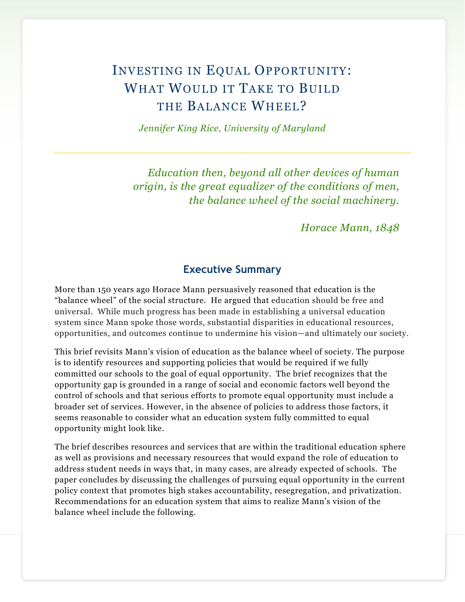# INVESTING IN EQUAL OPPORTUNITY: WHAT WOULD IT TAKE TO BUILD THE BALANCE WHEEL?

*Jennifer King Rice, University of Maryland*

*Education then, beyond all other devices of human origin, is the great equalizer of the conditions of men, the balance wheel of the social machinery.*

*Horace Mann, 1848*

### **Executive Summary**

More than 150 years ago Horace Mann persuasively reasoned that education is the "balance wheel" of the social structure. He argued that education should be free and universal. While much progress has been made in establishing a universal education system since Mann spoke those words, substantial disparities in educational resources, opportunities, and outcomes continue to undermine his vision—and ultimately our society.

This brief revisits Mann's vision of education as the balance wheel of society. The purpose is to identify resources and supporting policies that would be required if we fully committed our schools to the goal of equal opportunity. The brief recognizes that the opportunity gap is grounded in a range of social and economic factors well beyond the control of schools and that serious efforts to promote equal opportunity must include a broader set of services. However, in the absence of policies to address those factors, it seems reasonable to consider what an education system fully committed to equal opportunity might look like.

The brief describes resources and services that are within the traditional education sphere as well as provisions and necessary resources that would expand the role of education to address student needs in ways that, in many cases, are already expected of schools. The paper concludes by discussing the challenges of pursuing equal opportunity in the current policy context that promotes high stakes accountability, resegregation, and privatization. Recommendations for an education system that aims to realize Mann's vision of the balance wheel include the following.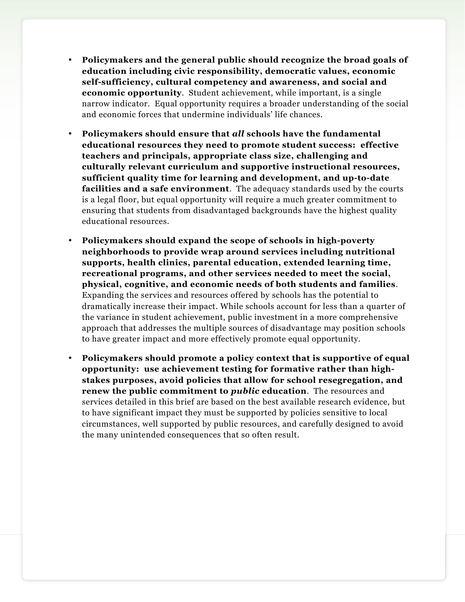- **Policymakers and the general public should recognize the broad goals of education including civic responsibility, democratic values, economic self-sufficiency, cultural competency and awareness, and social and economic opportunity**. Student achievement, while important, is a single narrow indicator. Equal opportunity requires a broader understanding of the social and economic forces that undermine individuals' life chances.
- **Policymakers should ensure that** *all* **schools have the fundamental educational resources they need to promote student success: effective teachers and principals, appropriate class size, challenging and culturally relevant curriculum and supportive instructional resources, sufficient quality time for learning and development, and up-to-date facilities and a safe environment**. The adequacy standards used by the courts is a legal floor, but equal opportunity will require a much greater commitment to ensuring that students from disadvantaged backgrounds have the highest quality educational resources.
- **Policymakers should expand the scope of schools in high-poverty neighborhoods to provide wrap around services including nutritional supports, health clinics, parental education, extended learning time, recreational programs, and other services needed to meet the social, physical, cognitive, and economic needs of both students and families**. Expanding the services and resources offered by schools has the potential to dramatically increase their impact. While schools account for less than a quarter of the variance in student achievement, public investment in a more comprehensive approach that addresses the multiple sources of disadvantage may position schools to have greater impact and more effectively promote equal opportunity.
- **Policymakers should promote a policy context that is supportive of equal opportunity: use achievement testing for formative rather than highstakes purposes, avoid policies that allow for school resegregation, and renew the public commitment to** *public* **education**. The resources and services detailed in this brief are based on the best available research evidence, but to have significant impact they must be supported by policies sensitive to local circumstances, well supported by public resources, and carefully designed to avoid the many unintended consequences that so often result.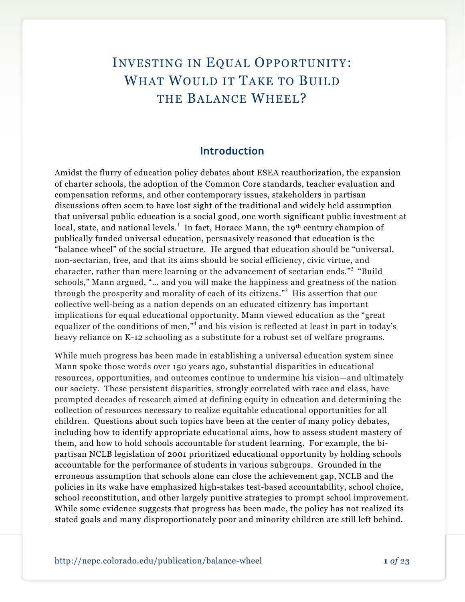INVESTING IN EQUAL OPPORTUNITY: WHAT WOULD IT TAKE TO BUILD THE BALANCE WHEEL?

#### **Introduction**

Amidst the flurry of education policy debates about ESEA reauthorization, the expansion of charter schools, the adoption of the Common Core standards, teacher evaluation and compensation reforms, and other contemporary issues, stakeholders in partisan discussions often seem to have lost sight of the traditional and widely held assumption that universal public education is a social good, one worth significant public investment at local, state, and national levels. $^1$  In fact, Horace Mann, the 19th century champion of publically funded universal education, persuasively reasoned that education is the "balance wheel" of the social structure. He argued that education should be "universal, non-sectarian, free, and that its aims should be social efficiency, civic virtue, and character, rather than mere learning or the advancement of sectarian ends."<sup>2</sup> "Build schools," Mann argued, "… and you will make the happiness and greatness of the nation through the prosperity and morality of each of its citizens."<sup>3</sup> His assertion that our collective well-being as a nation depends on an educated citizenry has important implications for equal educational opportunity. Mann viewed education as the "great equalizer of the conditions of men,"<sup>4</sup> and his vision is reflected at least in part in today's heavy reliance on K-12 schooling as a substitute for a robust set of welfare programs.

While much progress has been made in establishing a universal education system since Mann spoke those words over 150 years ago, substantial disparities in educational resources, opportunities, and outcomes continue to undermine his vision—and ultimately our society. These persistent disparities, strongly correlated with race and class, have prompted decades of research aimed at defining equity in education and determining the collection of resources necessary to realize equitable educational opportunities for all children. Questions about such topics have been at the center of many policy debates, including how to identify appropriate educational aims, how to assess student mastery of them, and how to hold schools accountable for student learning. For example, the bipartisan NCLB legislation of 2001 prioritized educational opportunity by holding schools accountable for the performance of students in various subgroups. Grounded in the erroneous assumption that schools alone can close the achievement gap, NCLB and the policies in its wake have emphasized high-stakes test-based accountability, school choice, school reconstitution, and other largely punitive strategies to prompt school improvement. While some evidence suggests that progress has been made, the policy has not realized its stated goals and many disproportionately poor and minority children are still left behind.

http://nepc.colorado.edu/publication/balance-wheel **1** *of* 23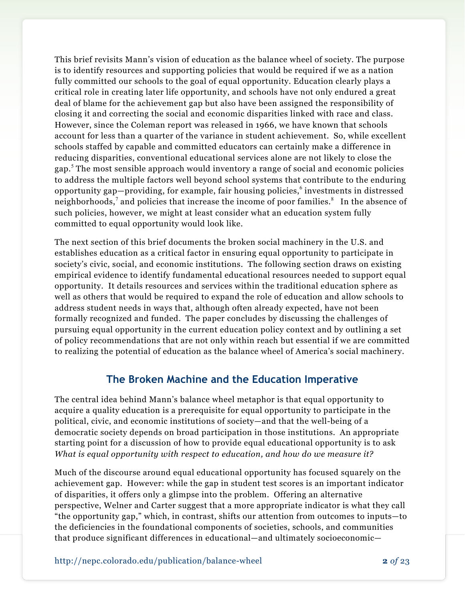This brief revisits Mann's vision of education as the balance wheel of society. The purpose is to identify resources and supporting policies that would be required if we as a nation fully committed our schools to the goal of equal opportunity. Education clearly plays a critical role in creating later life opportunity, and schools have not only endured a great deal of blame for the achievement gap but also have been assigned the responsibility of closing it and correcting the social and economic disparities linked with race and class. However, since the Coleman report was released in 1966, we have known that schools account for less than a quarter of the variance in student achievement. So, while excellent schools staffed by capable and committed educators can certainly make a difference in reducing disparities, conventional educational services alone are not likely to close the gap.<sup>5</sup> The most sensible approach would inventory a range of social and economic policies to address the multiple factors well beyond school systems that contribute to the enduring opportunity gap—providing, for example, fair housing policies,<sup>6</sup> investments in distressed neighborhoods,<sup>7</sup> and policies that increase the income of poor families.<sup>8</sup> In the absence of such policies, however, we might at least consider what an education system fully committed to equal opportunity would look like.

The next section of this brief documents the broken social machinery in the U.S. and establishes education as a critical factor in ensuring equal opportunity to participate in society's civic, social, and economic institutions. The following section draws on existing empirical evidence to identify fundamental educational resources needed to support equal opportunity. It details resources and services within the traditional education sphere as well as others that would be required to expand the role of education and allow schools to address student needs in ways that, although often already expected, have not been formally recognized and funded. The paper concludes by discussing the challenges of pursuing equal opportunity in the current education policy context and by outlining a set of policy recommendations that are not only within reach but essential if we are committed to realizing the potential of education as the balance wheel of America's social machinery.

## **The Broken Machine and the Education Imperative**

The central idea behind Mann's balance wheel metaphor is that equal opportunity to acquire a quality education is a prerequisite for equal opportunity to participate in the political, civic, and economic institutions of society—and that the well-being of a democratic society depends on broad participation in those institutions. An appropriate starting point for a discussion of how to provide equal educational opportunity is to ask *What is equal opportunity with respect to education, and how do we measure it?*

Much of the discourse around equal educational opportunity has focused squarely on the achievement gap. However: while the gap in student test scores is an important indicator of disparities, it offers only a glimpse into the problem. Offering an alternative perspective, Welner and Carter suggest that a more appropriate indicator is what they call "the opportunity gap," which, in contrast, shifts our attention from outcomes to inputs—to the deficiencies in the foundational components of societies, schools, and communities that produce significant differences in educational—and ultimately socioeconomic—

http://nepc.colorado.edu/publication/balance-wheel **2** *of* 23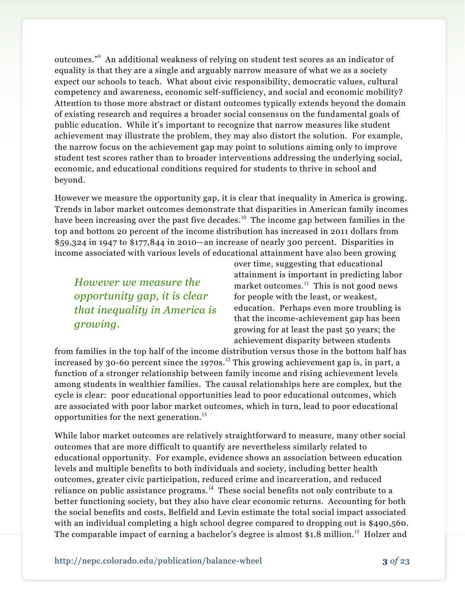outcomes."<sup>9</sup> An additional weakness of relying on student test scores as an indicator of equality is that they are a single and arguably narrow measure of what we as a society expect our schools to teach. What about civic responsibility, democratic values, cultural competency and awareness, economic self-sufficiency, and social and economic mobility? Attention to those more abstract or distant outcomes typically extends beyond the domain of existing research and requires a broader social consensus on the fundamental goals of public education. While it's important to recognize that narrow measures like student achievement may illustrate the problem, they may also distort the solution. For example, the narrow focus on the achievement gap may point to solutions aiming only to improve student test scores rather than to broader interventions addressing the underlying social, economic, and educational conditions required for students to thrive in school and beyond.

However we measure the opportunity gap, it is clear that inequality in America is growing. Trends in labor market outcomes demonstrate that disparities in American family incomes have been increasing over the past five decades.<sup>10</sup> The income gap between families in the top and bottom 20 percent of the income distribution has increased in 2011 dollars from \$59,324 in 1947 to \$177,844 in 2010—an increase of nearly 300 percent. Disparities in income associated with various levels of educational attainment have also been growing

*However we measure the opportunity gap, it is clear that inequality in America is growing.*

over time, suggesting that educational attainment is important in predicting labor market outcomes. $11$  This is not good news for people with the least, or weakest, education. Perhaps even more troubling is that the income-achievement gap has been growing for at least the past 50 years; the achievement disparity between students

from families in the top half of the income distribution versus those in the bottom half has increased by 30-60 percent since the 1970s.<sup>12</sup> This growing achievement gap is, in part, a function of a stronger relationship between family income and rising achievement levels among students in wealthier families. The causal relationships here are complex, but the cycle is clear: poor educational opportunities lead to poor educational outcomes, which are associated with poor labor market outcomes, which in turn, lead to poor educational opportunities for the next generation. $^{13}$ 

While labor market outcomes are relatively straightforward to measure, many other social outcomes that are more difficult to quantify are nevertheless similarly related to educational opportunity. For example, evidence shows an association between education levels and multiple benefits to both individuals and society, including better health outcomes, greater civic participation, reduced crime and incarceration, and reduced reliance on public assistance programs.<sup>14</sup> These social benefits not only contribute to a better functioning society, but they also have clear economic returns. Accounting for both the social benefits and costs, Belfield and Levin estimate the total social impact associated with an individual completing a high school degree compared to dropping out is \$490,560. The comparable impact of earning a bachelor's degree is almost \$1.8 million.<sup>15</sup> Holzer and

http://nepc.colorado.edu/publication/balance-wheel **3** *of* 23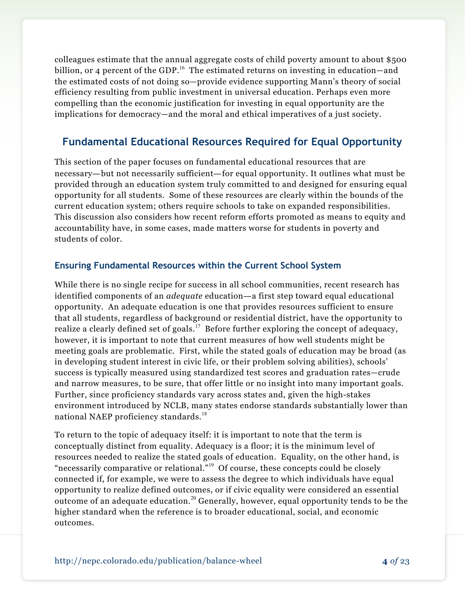colleagues estimate that the annual aggregate costs of child poverty amount to about \$500 billion, or 4 percent of the GDP.<sup>16</sup> The estimated returns on investing in education—and the estimated costs of not doing so—provide evidence supporting Mann's theory of social efficiency resulting from public investment in universal education. Perhaps even more compelling than the economic justification for investing in equal opportunity are the implications for democracy—and the moral and ethical imperatives of a just society.

## **Fundamental Educational Resources Required for Equal Opportunity**

This section of the paper focuses on fundamental educational resources that are necessary—but not necessarily sufficient—for equal opportunity. It outlines what must be provided through an education system truly committed to and designed for ensuring equal opportunity for all students. Some of these resources are clearly within the bounds of the current education system; others require schools to take on expanded responsibilities. This discussion also considers how recent reform efforts promoted as means to equity and accountability have, in some cases, made matters worse for students in poverty and students of color.

#### **Ensuring Fundamental Resources within the Current School System**

While there is no single recipe for success in all school communities, recent research has identified components of an *adequate* education—a first step toward equal educational opportunity. An adequate education is one that provides resources sufficient to ensure that all students, regardless of background or residential district, have the opportunity to realize a clearly defined set of goals.<sup>17</sup> Before further exploring the concept of adequacy, however, it is important to note that current measures of how well students might be meeting goals are problematic. First, while the stated goals of education may be broad (as in developing student interest in civic life, or their problem solving abilities), schools' success is typically measured using standardized test scores and graduation rates—crude and narrow measures, to be sure, that offer little or no insight into many important goals. Further, since proficiency standards vary across states and, given the high-stakes environment introduced by NCLB, many states endorse standards substantially lower than national NAEP proficiency standards.<sup>18</sup>

To return to the topic of adequacy itself: it is important to note that the term is conceptually distinct from equality. Adequacy is a floor; it is the minimum level of resources needed to realize the stated goals of education. Equality, on the other hand, is "necessarily comparative or relational."<sup>19</sup> Of course, these concepts could be closely connected if, for example, we were to assess the degree to which individuals have equal opportunity to realize defined outcomes, or if civic equality were considered an essential outcome of an adequate education.<sup>20</sup> Generally, however, equal opportunity tends to be the higher standard when the reference is to broader educational, social, and economic outcomes.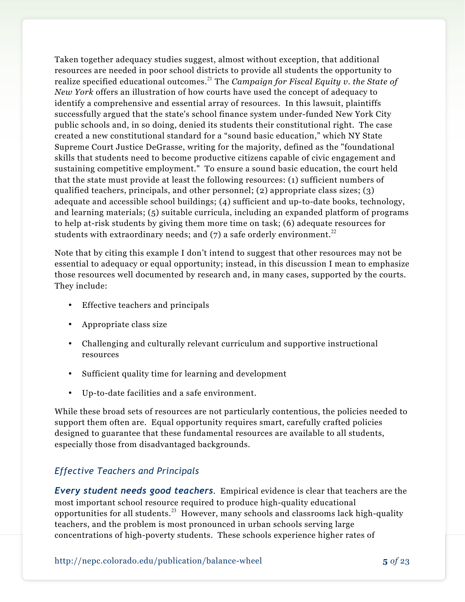Taken together adequacy studies suggest, almost without exception, that additional resources are needed in poor school districts to provide all students the opportunity to realize specified educational outcomes. <sup>21</sup> The *Campaign for Fiscal Equity v. the State of New York* offers an illustration of how courts have used the concept of adequacy to identify a comprehensive and essential array of resources. In this lawsuit, plaintiffs successfully argued that the state's school finance system under-funded New York City public schools and, in so doing, denied its students their constitutional right. The case created a new constitutional standard for a "sound basic education," which NY State Supreme Court Justice DeGrasse, writing for the majority, defined as the "foundational skills that students need to become productive citizens capable of civic engagement and sustaining competitive employment." To ensure a sound basic education, the court held that the state must provide at least the following resources: (1) sufficient numbers of qualified teachers, principals, and other personnel; (2) appropriate class sizes; (3) adequate and accessible school buildings; (4) sufficient and up-to-date books, technology, and learning materials; (5) suitable curricula, including an expanded platform of programs to help at-risk students by giving them more time on task; (6) adequate resources for students with extraordinary needs; and  $(7)$  a safe orderly environment.<sup>22</sup>

Note that by citing this example I don't intend to suggest that other resources may not be essential to adequacy or equal opportunity; instead, in this discussion I mean to emphasize those resources well documented by research and, in many cases, supported by the courts. They include:

- Effective teachers and principals
- Appropriate class size
- Challenging and culturally relevant curriculum and supportive instructional resources
- Sufficient quality time for learning and development
- Up-to-date facilities and a safe environment.

While these broad sets of resources are not particularly contentious, the policies needed to support them often are. Equal opportunity requires smart, carefully crafted policies designed to guarantee that these fundamental resources are available to all students, especially those from disadvantaged backgrounds.

#### *Effective Teachers and Principals*

*Every student needs good teachers.* Empirical evidence is clear that teachers are the most important school resource required to produce high-quality educational opportunities for all students.<sup>23</sup> However, many schools and classrooms lack high-quality teachers, and the problem is most pronounced in urban schools serving large concentrations of high-poverty students. These schools experience higher rates of

http://nepc.colorado.edu/publication/balance-wheel **5** *of* 23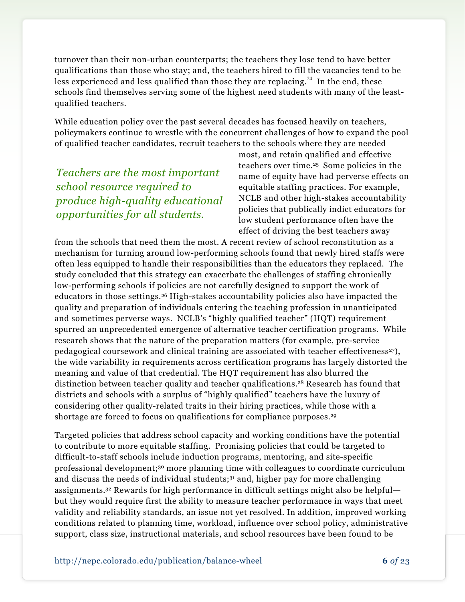turnover than their non-urban counterparts; the teachers they lose tend to have better qualifications than those who stay; and, the teachers hired to fill the vacancies tend to be less experienced and less qualified than those they are replacing.<sup>24</sup> In the end, these schools find themselves serving some of the highest need students with many of the leastqualified teachers.

While education policy over the past several decades has focused heavily on teachers, policymakers continue to wrestle with the concurrent challenges of how to expand the pool of qualified teacher candidates, recruit teachers to the schools where they are needed

*Teachers are the most important school resource required to produce high-quality educational opportunities for all students.*

most, and retain qualified and effective teachers over time.25 Some policies in the name of equity have had perverse effects on equitable staffing practices. For example, NCLB and other high-stakes accountability policies that publically indict educators for low student performance often have the effect of driving the best teachers away

from the schools that need them the most. A recent review of school reconstitution as a mechanism for turning around low-performing schools found that newly hired staffs were often less equipped to handle their responsibilities than the educators they replaced. The study concluded that this strategy can exacerbate the challenges of staffing chronically low-performing schools if policies are not carefully designed to support the work of educators in those settings.26 High-stakes accountability policies also have impacted the quality and preparation of individuals entering the teaching profession in unanticipated and sometimes perverse ways. NCLB's "highly qualified teacher" (HQT) requirement spurred an unprecedented emergence of alternative teacher certification programs. While research shows that the nature of the preparation matters (for example, pre-service pedagogical coursework and clinical training are associated with teacher effectiveness<sup>27</sup>), the wide variability in requirements across certification programs has largely distorted the meaning and value of that credential. The HQT requirement has also blurred the distinction between teacher quality and teacher qualifications.28 Research has found that districts and schools with a surplus of "highly qualified" teachers have the luxury of considering other quality-related traits in their hiring practices, while those with a shortage are forced to focus on qualifications for compliance purposes.<sup>29</sup>

Targeted policies that address school capacity and working conditions have the potential to contribute to more equitable staffing. Promising policies that could be targeted to difficult-to-staff schools include induction programs, mentoring, and site-specific professional development;30 more planning time with colleagues to coordinate curriculum and discuss the needs of individual students;<sup>31</sup> and, higher pay for more challenging assignments.32 Rewards for high performance in difficult settings might also be helpful but they would require first the ability to measure teacher performance in ways that meet validity and reliability standards, an issue not yet resolved. In addition, improved working conditions related to planning time, workload, influence over school policy, administrative support, class size, instructional materials, and school resources have been found to be

http://nepc.colorado.edu/publication/balance-wheel **6** *of* 23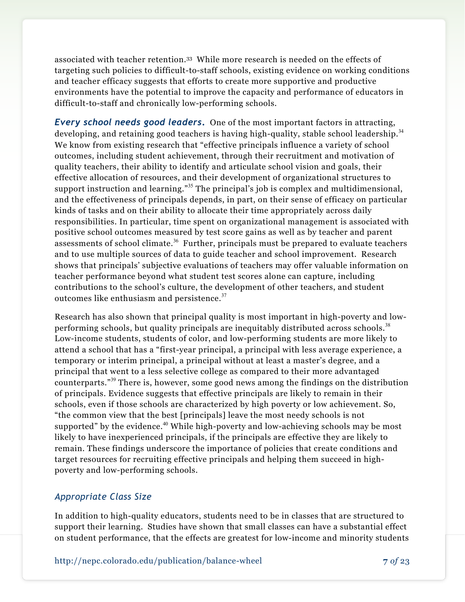associated with teacher retention.33 While more research is needed on the effects of targeting such policies to difficult-to-staff schools, existing evidence on working conditions and teacher efficacy suggests that efforts to create more supportive and productive environments have the potential to improve the capacity and performance of educators in difficult-to-staff and chronically low-performing schools.

*Every school needs good leaders***.**One of the most important factors in attracting, developing, and retaining good teachers is having high-quality, stable school leadership.<sup>34</sup> We know from existing research that "effective principals influence a variety of school outcomes, including student achievement, through their recruitment and motivation of quality teachers, their ability to identify and articulate school vision and goals, their effective allocation of resources, and their development of organizational structures to support instruction and learning."<sup>35</sup> The principal's job is complex and multidimensional, and the effectiveness of principals depends, in part, on their sense of efficacy on particular kinds of tasks and on their ability to allocate their time appropriately across daily responsibilities. In particular, time spent on organizational management is associated with positive school outcomes measured by test score gains as well as by teacher and parent assessments of school climate.<sup>36</sup> Further, principals must be prepared to evaluate teachers and to use multiple sources of data to guide teacher and school improvement. Research shows that principals' subjective evaluations of teachers may offer valuable information on teacher performance beyond what student test scores alone can capture, including contributions to the school's culture, the development of other teachers, and student outcomes like enthusiasm and persistence.<sup>37</sup>

Research has also shown that principal quality is most important in high-poverty and lowperforming schools, but quality principals are inequitably distributed across schools.<sup>38</sup> Low-income students, students of color, and low-performing students are more likely to attend a school that has a "first-year principal, a principal with less average experience, a temporary or interim principal, a principal without at least a master's degree, and a principal that went to a less selective college as compared to their more advantaged counterparts."<sup>39</sup> There is, however, some good news among the findings on the distribution of principals. Evidence suggests that effective principals are likely to remain in their schools, even if those schools are characterized by high poverty or low achievement. So, "the common view that the best [principals] leave the most needy schools is not supported" by the evidence.<sup>40</sup> While high-poverty and low-achieving schools may be most likely to have inexperienced principals, if the principals are effective they are likely to remain. These findings underscore the importance of policies that create conditions and target resources for recruiting effective principals and helping them succeed in highpoverty and low-performing schools.

#### *Appropriate Class Size*

In addition to high-quality educators, students need to be in classes that are structured to support their learning. Studies have shown that small classes can have a substantial effect on student performance, that the effects are greatest for low-income and minority students

http://nepc.colorado.edu/publication/balance-wheel **7** *of* 23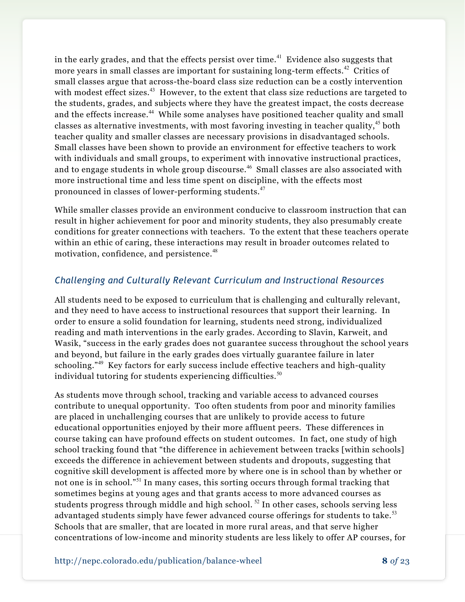in the early grades, and that the effects persist over time.<sup>41</sup> Evidence also suggests that more years in small classes are important for sustaining long-term effects.<sup>42</sup> Critics of small classes argue that across-the-board class size reduction can be a costly intervention with modest effect sizes.<sup>43</sup> However, to the extent that class size reductions are targeted to the students, grades, and subjects where they have the greatest impact, the costs decrease and the effects increase.<sup>44</sup> While some analyses have positioned teacher quality and small classes as alternative investments, with most favoring investing in teacher quality, <sup>45</sup> both teacher quality and smaller classes are necessary provisions in disadvantaged schools. Small classes have been shown to provide an environment for effective teachers to work with individuals and small groups, to experiment with innovative instructional practices, and to engage students in whole group discourse.<sup>46</sup> Small classes are also associated with more instructional time and less time spent on discipline, with the effects most pronounced in classes of lower-performing students.<sup>47</sup>

While smaller classes provide an environment conducive to classroom instruction that can result in higher achievement for poor and minority students, they also presumably create conditions for greater connections with teachers. To the extent that these teachers operate within an ethic of caring, these interactions may result in broader outcomes related to motivation, confidence, and persistence.<sup>48</sup>

#### *Challenging and Culturally Relevant Curriculum and Instructional Resources*

All students need to be exposed to curriculum that is challenging and culturally relevant, and they need to have access to instructional resources that support their learning. In order to ensure a solid foundation for learning, students need strong, individualized reading and math interventions in the early grades. According to Slavin, Karweit, and Wasik, "success in the early grades does not guarantee success throughout the school years and beyond, but failure in the early grades does virtually guarantee failure in later schooling."<sup>49</sup> Key factors for early success include effective teachers and high-quality individual tutoring for students experiencing difficulties. $50$ 

As students move through school, tracking and variable access to advanced courses contribute to unequal opportunity. Too often students from poor and minority families are placed in unchallenging courses that are unlikely to provide access to future educational opportunities enjoyed by their more affluent peers. These differences in course taking can have profound effects on student outcomes. In fact, one study of high school tracking found that "the difference in achievement between tracks [within schools] exceeds the difference in achievement between students and dropouts, suggesting that cognitive skill development is affected more by where one is in school than by whether or not one is in school."<sup>51</sup> In many cases, this sorting occurs through formal tracking that sometimes begins at young ages and that grants access to more advanced courses as students progress through middle and high school.  $52$  In other cases, schools serving less advantaged students simply have fewer advanced course offerings for students to take.<sup>53</sup> Schools that are smaller, that are located in more rural areas, and that serve higher concentrations of low-income and minority students are less likely to offer AP courses, for

http://nepc.colorado.edu/publication/balance-wheel **8** *of* 23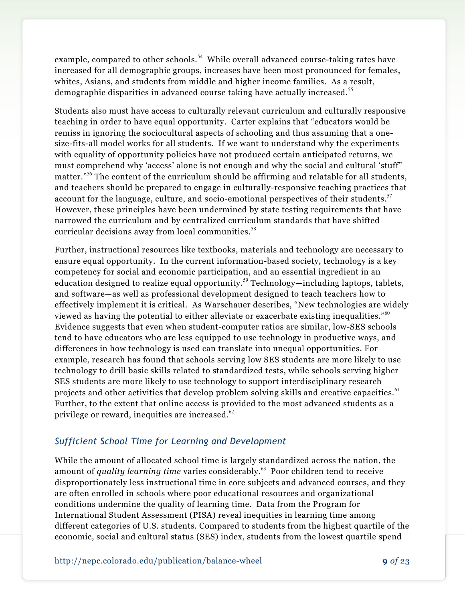example, compared to other schools.<sup>54</sup> While overall advanced course-taking rates have increased for all demographic groups, increases have been most pronounced for females, whites, Asians, and students from middle and higher income families. As a result, demographic disparities in advanced course taking have actually increased.<sup>55</sup>

Students also must have access to culturally relevant curriculum and culturally responsive teaching in order to have equal opportunity. Carter explains that "educators would be remiss in ignoring the sociocultural aspects of schooling and thus assuming that a onesize-fits-all model works for all students. If we want to understand why the experiments with equality of opportunity policies have not produced certain anticipated returns, we must comprehend why 'access' alone is not enough and why the social and cultural 'stuff" matter."<sup>56</sup> The content of the curriculum should be affirming and relatable for all students, and teachers should be prepared to engage in culturally-responsive teaching practices that account for the language, culture, and socio-emotional perspectives of their students.<sup>57</sup> However, these principles have been undermined by state testing requirements that have narrowed the curriculum and by centralized curriculum standards that have shifted curricular decisions away from local communities. 58

Further, instructional resources like textbooks, materials and technology are necessary to ensure equal opportunity. In the current information-based society, technology is a key competency for social and economic participation, and an essential ingredient in an education designed to realize equal opportunity.<sup>59</sup> Technology—including laptops, tablets, and software—as well as professional development designed to teach teachers how to effectively implement it is critical. As Warschauer describes, "New technologies are widely viewed as having the potential to either alleviate or exacerbate existing inequalities."<sup>60</sup> Evidence suggests that even when student-computer ratios are similar, low-SES schools tend to have educators who are less equipped to use technology in productive ways, and differences in how technology is used can translate into unequal opportunities. For example, research has found that schools serving low SES students are more likely to use technology to drill basic skills related to standardized tests, while schools serving higher SES students are more likely to use technology to support interdisciplinary research projects and other activities that develop problem solving skills and creative capacities.<sup>61</sup> Further, to the extent that online access is provided to the most advanced students as a privilege or reward, inequities are increased. $62$ 

#### *Sufficient School Time for Learning and Development*

While the amount of allocated school time is largely standardized across the nation, the amount of *quality learning time* varies considerably.<sup>63</sup> Poor children tend to receive disproportionately less instructional time in core subjects and advanced courses, and they are often enrolled in schools where poor educational resources and organizational conditions undermine the quality of learning time. Data from the Program for International Student Assessment (PISA) reveal inequities in learning time among different categories of U.S. students. Compared to students from the highest quartile of the economic, social and cultural status (SES) index, students from the lowest quartile spend

http://nepc.colorado.edu/publication/balance-wheel **9** *of* 23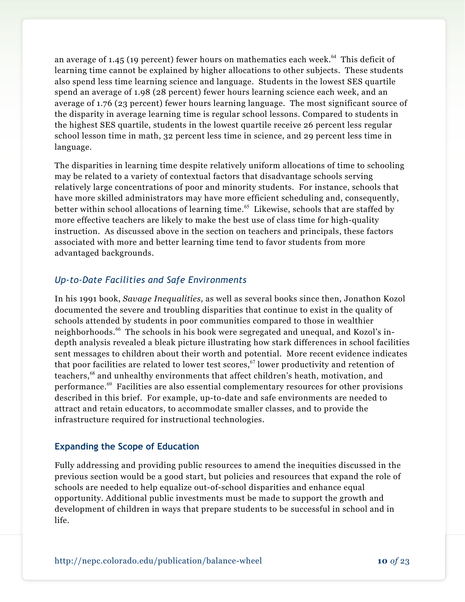an average of 1.45 (19 percent) fewer hours on mathematics each week.<sup> $64$ </sup> This deficit of learning time cannot be explained by higher allocations to other subjects. These students also spend less time learning science and language. Students in the lowest SES quartile spend an average of 1.98 (28 percent) fewer hours learning science each week, and an average of 1.76 (23 percent) fewer hours learning language. The most significant source of the disparity in average learning time is regular school lessons. Compared to students in the highest SES quartile, students in the lowest quartile receive 26 percent less regular school lesson time in math, 32 percent less time in science, and 29 percent less time in language.

The disparities in learning time despite relatively uniform allocations of time to schooling may be related to a variety of contextual factors that disadvantage schools serving relatively large concentrations of poor and minority students. For instance, schools that have more skilled administrators may have more efficient scheduling and, consequently, better within school allocations of learning time.<sup>65</sup> Likewise, schools that are staffed by more effective teachers are likely to make the best use of class time for high-quality instruction. As discussed above in the section on teachers and principals, these factors associated with more and better learning time tend to favor students from more advantaged backgrounds.

#### *Up-to-Date Facilities and Safe Environments*

In his 1991 book, *Savage Inequalities,* as well as several books since then, Jonathon Kozol documented the severe and troubling disparities that continue to exist in the quality of schools attended by students in poor communities compared to those in wealthier neighborhoods.<sup>66</sup> The schools in his book were segregated and unequal, and Kozol's indepth analysis revealed a bleak picture illustrating how stark differences in school facilities sent messages to children about their worth and potential. More recent evidence indicates that poor facilities are related to lower test scores,  $67$  lower productivity and retention of teachers,<sup>68</sup> and unhealthy environments that affect children's heath, motivation, and performance.<sup>69</sup> Facilities are also essential complementary resources for other provisions described in this brief. For example, up-to-date and safe environments are needed to attract and retain educators, to accommodate smaller classes, and to provide the infrastructure required for instructional technologies.

#### **Expanding the Scope of Education**

Fully addressing and providing public resources to amend the inequities discussed in the previous section would be a good start, but policies and resources that expand the role of schools are needed to help equalize out-of-school disparities and enhance equal opportunity. Additional public investments must be made to support the growth and development of children in ways that prepare students to be successful in school and in life.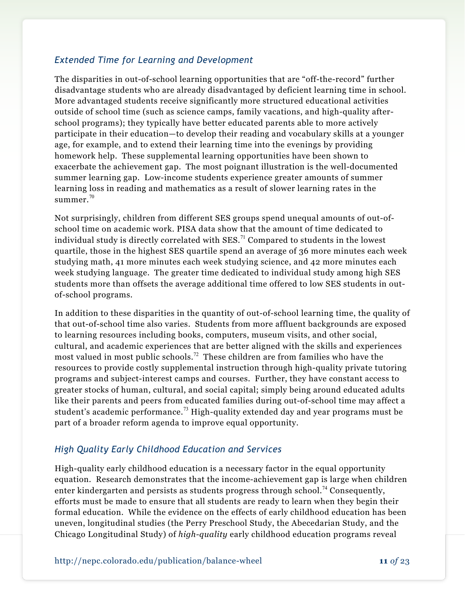#### *Extended Time for Learning and Development*

The disparities in out-of-school learning opportunities that are "off-the-record" further disadvantage students who are already disadvantaged by deficient learning time in school. More advantaged students receive significantly more structured educational activities outside of school time (such as science camps, family vacations, and high-quality afterschool programs); they typically have better educated parents able to more actively participate in their education—to develop their reading and vocabulary skills at a younger age, for example, and to extend their learning time into the evenings by providing homework help. These supplemental learning opportunities have been shown to exacerbate the achievement gap. The most poignant illustration is the well-documented summer learning gap. Low-income students experience greater amounts of summer learning loss in reading and mathematics as a result of slower learning rates in the summer. $70$ 

Not surprisingly, children from different SES groups spend unequal amounts of out-ofschool time on academic work. PISA data show that the amount of time dedicated to individual study is directly correlated with  $SES.^{71}$  Compared to students in the lowest quartile, those in the highest SES quartile spend an average of 36 more minutes each week studying math, 41 more minutes each week studying science, and 42 more minutes each week studying language. The greater time dedicated to individual study among high SES students more than offsets the average additional time offered to low SES students in outof-school programs.

In addition to these disparities in the quantity of out-of-school learning time, the quality of that out-of-school time also varies. Students from more affluent backgrounds are exposed to learning resources including books, computers, museum visits, and other social, cultural, and academic experiences that are better aligned with the skills and experiences most valued in most public schools.<sup>72</sup> These children are from families who have the resources to provide costly supplemental instruction through high-quality private tutoring programs and subject-interest camps and courses. Further, they have constant access to greater stocks of human, cultural, and social capital; simply being around educated adults like their parents and peers from educated families during out-of-school time may affect a student's academic performance.<sup>73</sup> High-quality extended day and year programs must be part of a broader reform agenda to improve equal opportunity.

#### *High Quality Early Childhood Education and Services*

High-quality early childhood education is a necessary factor in the equal opportunity equation. Research demonstrates that the income-achievement gap is large when children enter kindergarten and persists as students progress through school.<sup>74</sup> Consequently, efforts must be made to ensure that all students are ready to learn when they begin their formal education. While the evidence on the effects of early childhood education has been uneven, longitudinal studies (the Perry Preschool Study, the Abecedarian Study, and the Chicago Longitudinal Study) of *high-quality* early childhood education programs reveal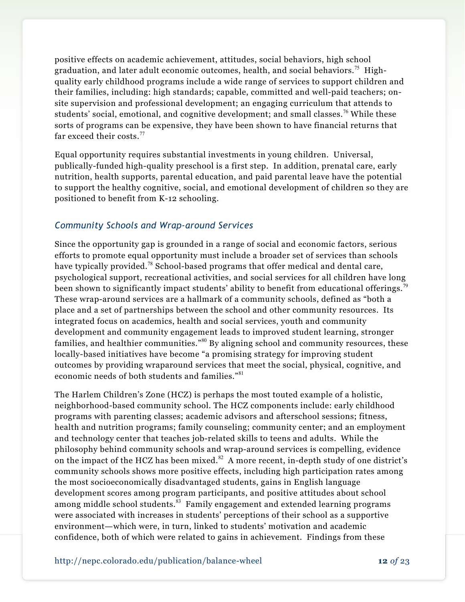positive effects on academic achievement, attitudes, social behaviors, high school graduation, and later adult economic outcomes, health, and social behaviors.<sup>75</sup> Highquality early childhood programs include a wide range of services to support children and their families, including: high standards; capable, committed and well-paid teachers; onsite supervision and professional development; an engaging curriculum that attends to students' social, emotional, and cognitive development; and small classes.<sup>76</sup> While these sorts of programs can be expensive, they have been shown to have financial returns that far exceed their costs. $77$ 

Equal opportunity requires substantial investments in young children. Universal, publically-funded high-quality preschool is a first step. In addition, prenatal care, early nutrition, health supports, parental education, and paid parental leave have the potential to support the healthy cognitive, social, and emotional development of children so they are positioned to benefit from K-12 schooling.

#### *Community Schools and Wrap-around Services*

Since the opportunity gap is grounded in a range of social and economic factors, serious efforts to promote equal opportunity must include a broader set of services than schools have typically provided.<sup>78</sup> School-based programs that offer medical and dental care, psychological support, recreational activities, and social services for all children have long been shown to significantly impact students' ability to benefit from educational offerings.<sup>7</sup> These wrap-around services are a hallmark of a community schools, defined as "both a place and a set of partnerships between the school and other community resources. Its integrated focus on academics, health and social services, youth and community development and community engagement leads to improved student learning, stronger families, and healthier communities."<sup>80</sup> By aligning school and community resources, these locally-based initiatives have become "a promising strategy for improving student outcomes by providing wraparound services that meet the social, physical, cognitive, and economic needs of both students and families."<sup>81</sup>

The Harlem Children's Zone (HCZ) is perhaps the most touted example of a holistic, neighborhood-based community school. The HCZ components include: early childhood programs with parenting classes; academic advisors and afterschool sessions; fitness, health and nutrition programs; family counseling; community center; and an employment and technology center that teaches job-related skills to teens and adults. While the philosophy behind community schools and wrap-around services is compelling, evidence on the impact of the HCZ has been mixed. $82$  A more recent, in-depth study of one district's community schools shows more positive effects, including high participation rates among the most socioeconomically disadvantaged students, gains in English language development scores among program participants, and positive attitudes about school among middle school students.<sup>83</sup> Family engagement and extended learning programs were associated with increases in students' perceptions of their school as a supportive environment—which were, in turn, linked to students' motivation and academic confidence, both of which were related to gains in achievement. Findings from these

http://nepc.colorado.edu/publication/balance-wheel **12** *of* 23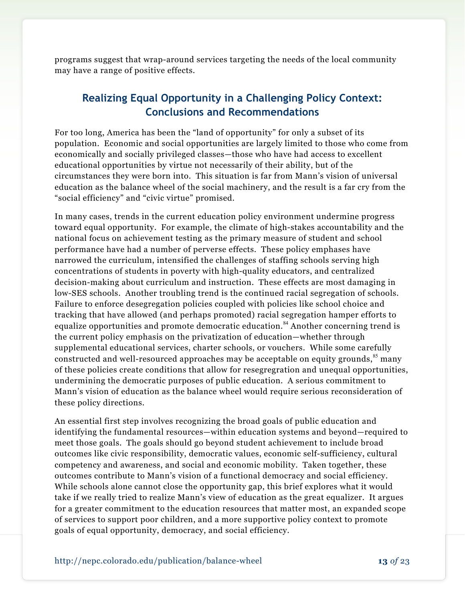programs suggest that wrap-around services targeting the needs of the local community may have a range of positive effects.

## **Realizing Equal Opportunity in a Challenging Policy Context: Conclusions and Recommendations**

For too long, America has been the "land of opportunity" for only a subset of its population. Economic and social opportunities are largely limited to those who come from economically and socially privileged classes—those who have had access to excellent educational opportunities by virtue not necessarily of their ability, but of the circumstances they were born into. This situation is far from Mann's vision of universal education as the balance wheel of the social machinery, and the result is a far cry from the "social efficiency" and "civic virtue" promised.

In many cases, trends in the current education policy environment undermine progress toward equal opportunity. For example, the climate of high-stakes accountability and the national focus on achievement testing as the primary measure of student and school performance have had a number of perverse effects. These policy emphases have narrowed the curriculum, intensified the challenges of staffing schools serving high concentrations of students in poverty with high-quality educators, and centralized decision-making about curriculum and instruction. These effects are most damaging in low-SES schools. Another troubling trend is the continued racial segregation of schools. Failure to enforce desegregation policies coupled with policies like school choice and tracking that have allowed (and perhaps promoted) racial segregation hamper efforts to equalize opportunities and promote democratic education.<sup>84</sup> Another concerning trend is the current policy emphasis on the privatization of education—whether through supplemental educational services, charter schools, or vouchers. While some carefully constructed and well-resourced approaches may be acceptable on equity grounds, $85$  many of these policies create conditions that allow for resegregration and unequal opportunities, undermining the democratic purposes of public education. A serious commitment to Mann's vision of education as the balance wheel would require serious reconsideration of these policy directions.

An essential first step involves recognizing the broad goals of public education and identifying the fundamental resources—within education systems and beyond—required to meet those goals. The goals should go beyond student achievement to include broad outcomes like civic responsibility, democratic values, economic self-sufficiency, cultural competency and awareness, and social and economic mobility. Taken together, these outcomes contribute to Mann's vision of a functional democracy and social efficiency. While schools alone cannot close the opportunity gap, this brief explores what it would take if we really tried to realize Mann's view of education as the great equalizer. It argues for a greater commitment to the education resources that matter most, an expanded scope of services to support poor children, and a more supportive policy context to promote goals of equal opportunity, democracy, and social efficiency.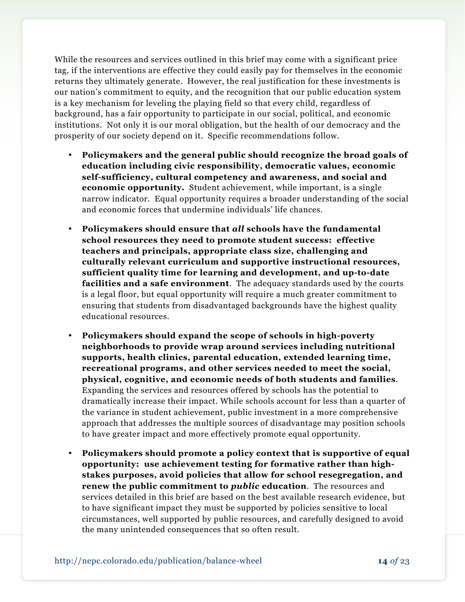While the resources and services outlined in this brief may come with a significant price tag, if the interventions are effective they could easily pay for themselves in the economic returns they ultimately generate. However, the real justification for these investments is our nation's commitment to equity, and the recognition that our public education system is a key mechanism for leveling the playing field so that every child, regardless of background, has a fair opportunity to participate in our social, political, and economic institutions. Not only it is our moral obligation, but the health of our democracy and the prosperity of our society depend on it.Specific recommendations follow.

- **Policymakers and the general public should recognize the broad goals of education including civic responsibility, democratic values, economic self-sufficiency, cultural competency and awareness, and social and economic opportunity.** Student achievement, while important, is a single narrow indicator. Equal opportunity requires a broader understanding of the social and economic forces that undermine individuals' life chances.
- **Policymakers should ensure that** *all* **schools have the fundamental school resources they need to promote student success: effective teachers and principals, appropriate class size, challenging and culturally relevant curriculum and supportive instructional resources, sufficient quality time for learning and development, and up-to-date facilities and a safe environment**. The adequacy standards used by the courts is a legal floor, but equal opportunity will require a much greater commitment to ensuring that students from disadvantaged backgrounds have the highest quality educational resources.
- **Policymakers should expand the scope of schools in high-poverty neighborhoods to provide wrap around services including nutritional supports, health clinics, parental education, extended learning time, recreational programs, and other services needed to meet the social, physical, cognitive, and economic needs of both students and families**. Expanding the services and resources offered by schools has the potential to dramatically increase their impact. While schools account for less than a quarter of the variance in student achievement, public investment in a more comprehensive approach that addresses the multiple sources of disadvantage may position schools to have greater impact and more effectively promote equal opportunity.
- **Policymakers should promote a policy context that is supportive of equal opportunity: use achievement testing for formative rather than highstakes purposes, avoid policies that allow for school resegregation, and renew the public commitment to** *public* **education**. The resources and services detailed in this brief are based on the best available research evidence, but to have significant impact they must be supported by policies sensitive to local circumstances, well supported by public resources, and carefully designed to avoid the many unintended consequences that so often result.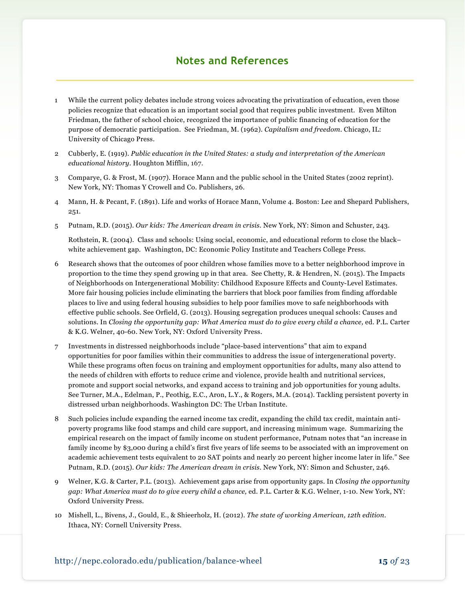### **Notes and References**

- 1 While the current policy debates include strong voices advocating the privatization of education, even those policies recognize that education is an important social good that requires public investment. Even Milton Friedman, the father of school choice, recognized the importance of public financing of education for the purpose of democratic participation. See Friedman, M. (1962). *Capitalism and freedom*. Chicago, IL: University of Chicago Press.
- 2 Cubberly, E. (1919). *Public education in the United States: a study and interpretation of the American educational history*. Houghton Mifflin, 167.
- 3 Comparye, G. & Frost, M. (1907). Horace Mann and the public school in the United States (2002 reprint). New York, NY: Thomas Y Crowell and Co. Publishers, 26.
- 4 Mann, H. & Pecant, F. (1891). Life and works of Horace Mann, Volume 4. Boston: Lee and Shepard Publishers, 251.
- 5 Putnam, R.D. (2015). *Our kids: The American dream in crisis.* New York, NY: Simon and Schuster, 243.

Rothstein, R. (2004). Class and schools: Using social, economic, and educational reform to close the black– white achievement gap. Washington, DC: Economic Policy Institute and Teachers College Press.

- 6 Research shows that the outcomes of poor children whose families move to a better neighborhood improve in proportion to the time they spend growing up in that area. See Chetty, R. & Hendren, N. (2015). The Impacts of Neighborhoods on Intergenerational Mobility: Childhood Exposure Effects and County-Level Estimates. More fair housing policies include eliminating the barriers that block poor families from finding affordable places to live and using federal housing subsidies to help poor families move to safe neighborhoods with effective public schools. See Orfield, G. (2013). Housing segregation produces unequal schools: Causes and solutions. In *Closing the opportunity gap: What America must do to give every child a chance, ed. P.L. Carter* & K.G. Welner, 40-60. New York, NY: Oxford University Press.
- 7 Investments in distressed neighborhoods include "place-based interventions" that aim to expand opportunities for poor families within their communities to address the issue of intergenerational poverty. While these programs often focus on training and employment opportunities for adults, many also attend to the needs of children with efforts to reduce crime and violence, provide health and nutritional services, promote and support social networks, and expand access to training and job opportunities for young adults. See Turner, M.A., Edelman, P., Peothig, E.C., Aron, L.Y., & Rogers, M.A. (2014). Tackling persistent poverty in distressed urban neighborhoods. Washington DC: The Urban Institute.
- 8 Such policies include expanding the earned income tax credit, expanding the child tax credit, maintain antipoverty programs like food stamps and child care support, and increasing minimum wage. Summarizing the empirical research on the impact of family income on student performance, Putnam notes that "an increase in family income by \$3,000 during a child's first five years of life seems to be associated with an improvement on academic achievement tests equivalent to 20 SAT points and nearly 20 percent higher income later in life." See Putnam, R.D. (2015). *Our kids: The American dream in crisis.* New York, NY: Simon and Schuster, 246.
- 9 Welner, K.G. & Carter, P.L. (2013). Achievement gaps arise from opportunity gaps. In *Closing the opportunity gap: What America must do to give every child a chance,* ed. P.L. Carter & K.G. Welner, 1-10. New York, NY: Oxford University Press.
- 10 Mishell, L., Bivens, J., Gould, E., & Shieerholz, H. (2012). *The state of working American, 12th edition*. Ithaca, NY: Cornell University Press.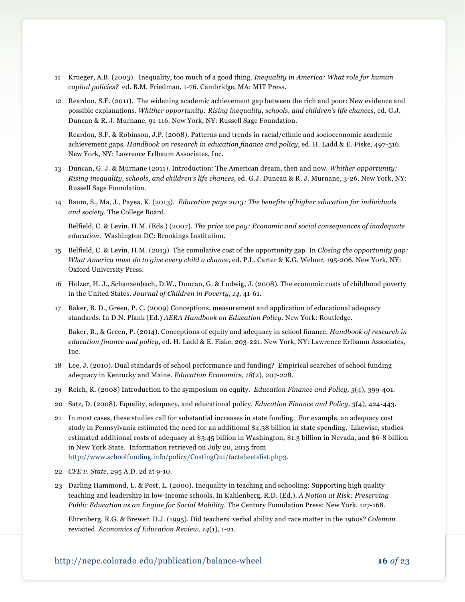- 11 Krueger, A.B. (2003). Inequality, too much of a good thing. *Inequality in America: What role for human capital policies?* ed. B.M. Friedman, 1-76. Cambridge, MA: MIT Press.
- 12 Reardon, S.F. (2011). The widening academic achievement gap between the rich and poor: New evidence and possible explanations. *Whither opportunity: Rising inequality, schools, and children's life chances*, ed. G.J. Duncan & R. J. Murnane, 91-116. New York, NY: Russell Sage Foundation.

Reardon, S.F. & Robinson, J.P. (2008). Patterns and trends in racial/ethnic and socioeconomic academic achievement gaps. *Handbook on research in education finance and policy*, ed. H. Ladd & E. Fiske, 497-516. New York, NY: Lawrence Erlbaum Associates, Inc.

- 13 Duncan, G. J. & Murnane (2011). Introduction: The American dream, then and now. *Whither opportunity: Rising inequality, schools, and children's life chances*, ed. G.J. Duncan & R. J. Murnane, 3-26. New York, NY: Russell Sage Foundation.
- 14 Baum, S., Ma, J., Payea, K. (2013). *Education pays 2013: The benefits of higher education for individuals and society*. The College Board.

Belfield, C. & Levin, H.M. (Eds.) (2007). *The price we pay: Economic and social consequences of inadequate education*. Washington DC: Brookings Institution.

- 15 Belfield, C. & Levin, H.M. (2013). The cumulative cost of the opportunity gap. In *Closing the opportunity gap: What America must do to give every child a chance,* ed. P.L. Carter & K.G. Welner, 195-206. New York, NY: Oxford University Press.
- 16 Holzer, H. J., Schanzenbach, D.W., Duncan, G. & Ludwig, J. (2008). The economic costs of childhood poverty in the United States. *Journal of Children in Poverty, 14,* 41-61.
- 17 Baker, B. D., Green, P. C. (2009) Conceptions, measurement and application of educational adequacy standards. In D.N. Plank (Ed.) *AERA Handbook on Education Policy*. New York: Routledge.

Baker, B., & Green, P. (2014). Conceptions of equity and adequacy in school finance. *Handbook of research in education finance and policy*, ed. H. Ladd & E. Fiske, 203-221. New York, NY: Lawrence Erlbaum Associates, Inc.

- 18 Lee, J. (2010). Dual standards of school performance and funding? Empirical searches of school funding adequacy in Kentucky and Maine. *Education Economics, 18*(2), 207-228.
- 19 Reich, R. (2008) Introduction to the symposium on equity. *Education Finance and Policy, 3*(4)*,* 399-401*.*
- 20 Satz, D. (2008). Equality, adequacy, and educational policy. *Education Finance and Policy, 3*(4)*,* 424-443.
- 21 In most cases, these studies call for substantial increases in state funding. For example, an adequacy cost study in Pennsylvania estimated the need for an additional \$4.38 billion in state spending. Likewise, studies estimated additional costs of adequacy at \$3.45 billion in Washington, \$1.3 billion in Nevada, and \$6-8 billion in New York State. Information retrieved on July 20, 2015 from http://www.schoolfunding.info/policy/CostingOut/factsheetslist.php3.
- 22 *CFE v. State*, 295 A.D. 2d at 9-10.
- 23 Darling Hammond, L. & Post, L. (2000). Inequality in teaching and schooling: Supporting high quality teaching and leadership in low-income schools. In Kahlenberg, R.D. (Ed.). *A Notion at Risk: Preserving Public Education as an Engine for Social Mobility.* The Century Foundation Press: New York. 127-168.

Ehrenberg, R.G. & Brewer, D.J. (1995). Did teachers' verbal ability and race matter in the 1960s? *Coleman* revisited. *Economics of Education Review, 14*(1), 1-21.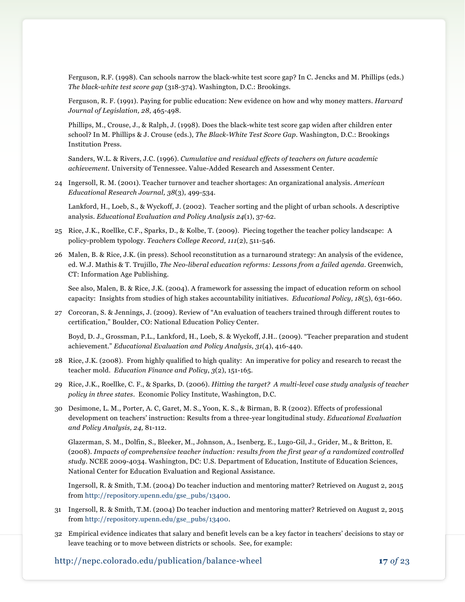Ferguson, R.F. (1998). Can schools narrow the black-white test score gap? In C. Jencks and M. Phillips (eds.) *The black-white test score gap* (318-374). Washington, D.C.: Brookings.

Ferguson, R. F. (1991). Paying for public education: New evidence on how and why money matters. *Harvard Journal of Legislation, 28*, 465-498.

Phillips, M., Crouse, J., & Ralph, J. (1998). Does the black-white test score gap widen after children enter school? In M. Phillips & J. Crouse (eds.), *The Black-White Test Score Gap*. Washington, D.C.: Brookings Institution Press.

Sanders, W.L. & Rivers, J.C. (1996). *Cumulative and residual effects of teachers on future academic achievement.* University of Tennessee. Value-Added Research and Assessment Center.

24 Ingersoll, R. M. (2001). Teacher turnover and teacher shortages: An organizational analysis. *American Educational Research Journal, 38*(3), 499-534.

Lankford, H., Loeb, S., & Wyckoff, J. (2002). Teacher sorting and the plight of urban schools. A descriptive analysis. *Educational Evaluation and Policy Analysis 24*(1), 37-62.

- 25 Rice, J.K., Roellke, C.F., Sparks, D., & Kolbe, T. (2009). Piecing together the teacher policy landscape: A policy-problem typology. *Teachers College Record, 111*(2), 511-546.
- 26 Malen, B. & Rice, J.K. (in press). School reconstitution as a turnaround strategy: An analysis of the evidence, ed. W.J. Mathis & T. Trujillo, *The Neo-liberal education reforms: Lessons from a failed agenda.* Greenwich, CT: Information Age Publishing.

See also, Malen, B. & Rice, J.K. (2004). A framework for assessing the impact of education reform on school capacity: Insights from studies of high stakes accountability initiatives. *Educational Policy, 18*(5), 631-660.

27 Corcoran, S. & Jennings, J. (2009). Review of "An evaluation of teachers trained through different routes to certification," Boulder, CO: National Education Policy Center.

Boyd, D. J., Grossman, P.L., Lankford, H., Loeb, S. & Wyckoff, J.H.. (2009). "Teacher preparation and student achievement." *Educational Evaluation and Policy Analysis, 31*(4), 416-440.

- 28 Rice, J.K. (2008). From highly qualified to high quality: An imperative for policy and research to recast the teacher mold. *Education Finance and Policy*, *3*(2), 151-165.
- 29 Rice, J.K., Roellke, C. F., & Sparks, D. (2006). *Hitting the target? A multi-level case study analysis of teacher policy in three states*. Economic Policy Institute, Washington, D.C.
- 30 Desimone, L. M., Porter, A. C, Garet, M. S., Yoon, K. S., & Birman, B. R (2002). Effects of professional development on teachers' instruction: Results from a three-year longitudinal study. *Educational Evaluation and Policy Analysis, 24,* 81-112.

Glazerman, S. M., Dolfin, S., Bleeker, M., Johnson, A., Isenberg, E., Lugo-Gil, J., Grider, M., & Britton, E. (2008). *Impacts of comprehensive teacher induction: results from the first year of a randomized controlled study.* NCEE 2009-4034. Washington, DC: U.S. Department of Education, Institute of Education Sciences, National Center for Education Evaluation and Regional Assistance.

Ingersoll, R. & Smith, T.M. (2004) Do teacher induction and mentoring matter? Retrieved on August 2, 2015 from http://repository.upenn.edu/gse\_pubs/13400.

- 31 Ingersoll, R. & Smith, T.M. (2004) Do teacher induction and mentoring matter? Retrieved on August 2, 2015 from http://repository.upenn.edu/gse\_pubs/13400.
- 32 Empirical evidence indicates that salary and benefit levels can be a key factor in teachers' decisions to stay or leave teaching or to move between districts or schools. See, for example:

http://nepc.colorado.edu/publication/balance-wheel **17** *of* 23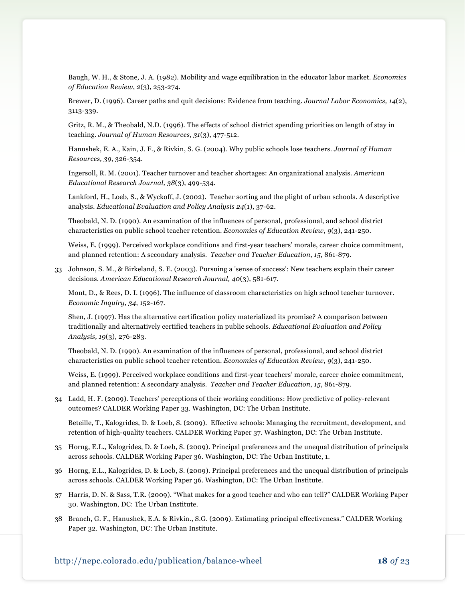Baugh, W. H., & Stone, J. A. (1982). Mobility and wage equilibration in the educator labor market. *Economics of Education Review*, *2*(3), 253-274.

Brewer, D. (1996). Career paths and quit decisions: Evidence from teaching. *Journal Labor Economics, 14*(2), 3113-339.

Gritz, R. M., & Theobald, N.D. (1996). The effects of school district spending priorities on length of stay in teaching. *Journal of Human Resources*, *31*(3), 477-512.

Hanushek, E. A., Kain, J. F., & Rivkin, S. G. (2004). Why public schools lose teachers. *Journal of Human Resources, 39*, 326-354.

Ingersoll, R. M. (2001). Teacher turnover and teacher shortages: An organizational analysis. *American Educational Research Journal, 38*(3), 499-534.

Lankford, H., Loeb, S., & Wyckoff, J. (2002). Teacher sorting and the plight of urban schools. A descriptive analysis. *Educational Evaluation and Policy Analysis 24*(1), 37-62.

Theobald, N. D. (1990). An examination of the influences of personal, professional, and school district characteristics on public school teacher retention. *Economics of Education Review*, *9*(3), 241-250.

Weiss, E. (1999). Perceived workplace conditions and first-year teachers' morale, career choice commitment, and planned retention: A secondary analysis. *Teacher and Teacher Education*, *15*, 861-879.

33 Johnson, S. M., & Birkeland, S. E. (2003). Pursuing a 'sense of success': New teachers explain their career decisions. *American Educational Research Journal, 40*(3), 581-617.

Mont, D., & Rees, D. I. (1996). The influence of classroom characteristics on high school teacher turnover. *Economic Inquiry*, *34*, 152-167.

Shen, J. (1997). Has the alternative certification policy materialized its promise? A comparison between traditionally and alternatively certified teachers in public schools. *Educational Evaluation and Policy Analysis, 19*(3), 276-283.

Theobald, N. D. (1990). An examination of the influences of personal, professional, and school district characteristics on public school teacher retention. *Economics of Education Review*, *9*(3), 241-250.

Weiss, E. (1999). Perceived workplace conditions and first-year teachers' morale, career choice commitment, and planned retention: A secondary analysis. *Teacher and Teacher Education*, *15*, 861-879.

34 Ladd, H. F. (2009). Teachers' perceptions of their working conditions: How predictive of policy-relevant outcomes? CALDER Working Paper 33. Washington, DC: The Urban Institute.

Beteille, T., Kalogrides, D. & Loeb, S. (2009). Effective schools: Managing the recruitment, development, and retention of high-quality teachers. CALDER Working Paper 37. Washington, DC: The Urban Institute.

- 35 Horng, E.L., Kalogrides, D. & Loeb, S. (2009). Principal preferences and the unequal distribution of principals across schools. CALDER Working Paper 36. Washington, DC: The Urban Institute, 1.
- 36 Horng, E.L., Kalogrides, D. & Loeb, S. (2009). Principal preferences and the unequal distribution of principals across schools. CALDER Working Paper 36. Washington, DC: The Urban Institute.
- 37 Harris, D. N. & Sass, T.R. (2009). "What makes for a good teacher and who can tell?" CALDER Working Paper 30. Washington, DC: The Urban Institute.
- 38 Branch, G. F., Hanushek, E.A. & Rivkin., S.G. (2009). Estimating principal effectiveness." CALDER Working Paper 32. Washington, DC: The Urban Institute.

http://nepc.colorado.edu/publication/balance-wheel **18** *of* 23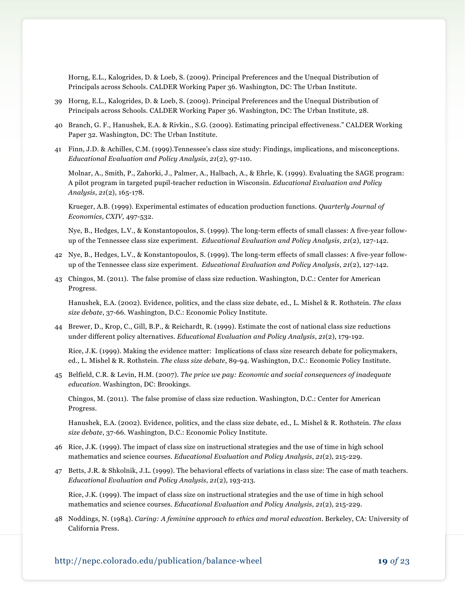Horng, E.L., Kalogrides, D. & Loeb, S. (2009). Principal Preferences and the Unequal Distribution of Principals across Schools. CALDER Working Paper 36. Washington, DC: The Urban Institute.

- 39 Horng, E.L., Kalogrides, D. & Loeb, S. (2009). Principal Preferences and the Unequal Distribution of Principals across Schools. CALDER Working Paper 36. Washington, DC: The Urban Institute, 28.
- 40 Branch, G. F., Hanushek, E.A. & Rivkin., S.G. (2009). Estimating principal effectiveness." CALDER Working Paper 32. Washington, DC: The Urban Institute.
- 41 Finn, J.D. & Achilles, C.M. (1999).Tennessee's class size study: Findings, implications, and misconceptions. *Educational Evaluation and Policy Analysis*, *21*(2), 97-110.

Molnar, A., Smith, P., Zahorki, J., Palmer, A., Halbach, A., & Ehrle, K. (1999). Evaluating the SAGE program: A pilot program in targeted pupil-teacher reduction in Wisconsin. *Educational Evaluation and Policy Analysis*, *21*(2), 165-178.

Krueger, A.B. (1999). Experimental estimates of education production functions. *Quarterly Journal of Economics, CXIV,* 497-532.

Nye, B., Hedges, L.V., & Konstantopoulos, S. (1999). The long-term effects of small classes: A five-year followup of the Tennessee class size experiment. *Educational Evaluation and Policy Analysis*, *21*(2), 127-142.

- 42 Nye, B., Hedges, L.V., & Konstantopoulos, S. (1999). The long-term effects of small classes: A five-year followup of the Tennessee class size experiment. *Educational Evaluation and Policy Analysis*, *21*(2), 127-142.
- 43 Chingos, M. (2011). The false promise of class size reduction. Washington, D.C.: Center for American Progress.

Hanushek, E.A. (2002). Evidence, politics, and the class size debate, ed., L. Mishel & R. Rothstein. *The class size debate*, 37-66*.* Washington, D.C.: Economic Policy Institute.

44 Brewer, D., Krop, C., Gill, B.P., & Reichardt, R. (1999). Estimate the cost of national class size reductions under different policy alternatives. *Educational Evaluation and Policy Analysis*, *21*(2), 179-192.

Rice, J.K. (1999). Making the evidence matter: Implications of class size research debate for policymakers, ed., L. Mishel & R. Rothstein. *The class size debate*, 89-94*.* Washington, D.C.: Economic Policy Institute.

45 Belfield, C.R. & Levin, H.M. (2007). *The price we pay: Economic and social consequences of inadequate education*. Washington, DC: Brookings.

Chingos, M. (2011). The false promise of class size reduction. Washington, D.C.: Center for American Progress.

Hanushek, E.A. (2002). Evidence, politics, and the class size debate, ed., L. Mishel & R. Rothstein. *The class size debate*, 37-66*.* Washington, D.C.: Economic Policy Institute.

- 46 Rice, J.K. (1999). The impact of class size on instructional strategies and the use of time in high school mathematics and science courses. *Educational Evaluation and Policy Analysis*, *21*(2), 215-229.
- 47 Betts, J.R. & Shkolnik, J.L. (1999). The behavioral effects of variations in class size: The case of math teachers. *Educational Evaluation and Policy Analysis*, *21*(2), 193-213.

Rice, J.K. (1999). The impact of class size on instructional strategies and the use of time in high school mathematics and science courses. *Educational Evaluation and Policy Analysis*, *21*(2), 215-229.

48 Noddings, N. (1984). *Caring: A feminine approach to ethics and moral education.* Berkeley, CA: University of California Press.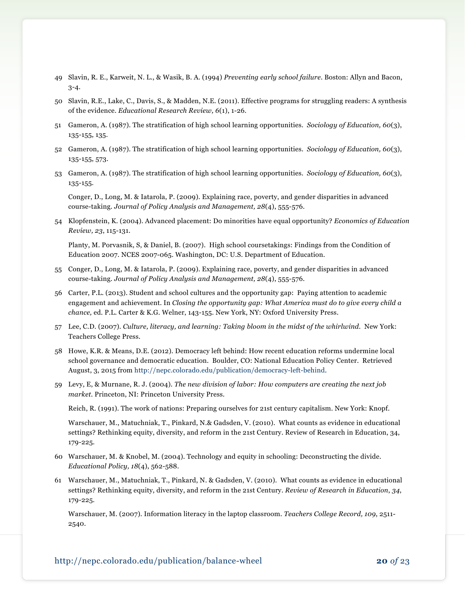- 49 Slavin, R. E., Karweit, N. L., & Wasik, B. A. (1994) *Preventing early school failure*. Boston: Allyn and Bacon, 3-4.
- 50 Slavin, R.E., Lake, C., Davis, S., & Madden, N.E. (2011). Effective programs for struggling readers: A synthesis of the evidence. *Educational Research Review, 6*(1), 1-26.
- 51 Gameron, A. (1987). The stratification of high school learning opportunities. *Sociology of Education, 60*(3), 135-155, 135.
- 52 Gameron, A. (1987). The stratification of high school learning opportunities. *Sociology of Education, 60*(3), 135-155, 573.
- 53 Gameron, A. (1987). The stratification of high school learning opportunities. *Sociology of Education, 60*(3), 135-155.

Conger, D., Long, M. & Iatarola, P. (2009). Explaining race, poverty, and gender disparities in advanced course-taking. *Journal of Policy Analysis and Management, 28*(4), 555-576.

54 Klopfenstein, K. (2004). Advanced placement: Do minorities have equal opportunity? *Economics of Education Review, 23*, 115-131.

Planty, M. Porvasnik, S, & Daniel, B. (2007). High school coursetakings: Findings from the Condition of Education 2007. NCES 2007-065. Washington, DC: U.S. Department of Education.

- 55 Conger, D., Long, M. & Iatarola, P. (2009). Explaining race, poverty, and gender disparities in advanced course-taking. *Journal of Policy Analysis and Management, 28*(4), 555-576.
- 56 Carter, P.L. (2013). Student and school cultures and the opportunity gap: Paying attention to academic engagement and achievement. In *Closing the opportunity gap: What America must do to give every child a chance,* ed. P.L. Carter & K.G. Welner, 143-155. New York, NY: Oxford University Press.
- 57 Lee, C.D. (2007). *Culture, literacy, and learning: Taking bloom in the midst of the whirlwind.* New York: Teachers College Press.
- 58 Howe, K.R. & Means, D.E. (2012). Democracy left behind: How recent education reforms undermine local school governance and democratic education. Boulder, CO: National Education Policy Center. Retrieved August, 3, 2015 from http://nepc.colorado.edu/publication/democracy-left-behind.
- 59 Levy, E, & Murnane, R. J. (2004). *The new division of labor: How computers are creating the next job market.* Princeton, NI: Princeton University Press.

Reich, R. (1991). The work of nations: Preparing ourselves for 21st century capitalism. New York: Knopf.

Warschauer, M., Matuchniak, T., Pinkard, N.& Gadsden, V. (2010). What counts as evidence in educational settings? Rethinking equity, diversity, and reform in the 21st Century. Review of Research in Education, 34, 179-225.

- 60 Warschauer, M. & Knobel, M. (2004). Technology and equity in schooling: Deconstructing the divide. *Educational Policy, 18*(4), 562-588.
- 61 Warschauer, M., Matuchniak, T., Pinkard, N. & Gadsden, V. (2010). What counts as evidence in educational settings? Rethinking equity, diversity, and reform in the 21st Century. *Review of Research in Education*, *34*, 179-225.

Warschauer, M. (2007). Information literacy in the laptop classroom. *Teachers College Record, 109*, 2511- 2540.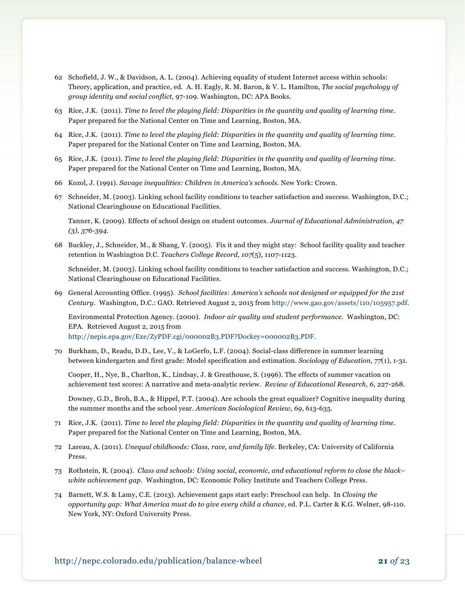- 62 Schofield, J. W., & Davidson, A. L. (2004). Achieving equality of student Internet access within schools: Theory, application, and practice, ed. A. H. Eagly, R. M. Baron, & V. L. Hamilton, *The social psychology of group identity and social conflict,* 97-109. Washington, DC: APA Books.
- 63 Rice, J.K. (2011). *Time to level the playing field: Disparities in the quantity and quality of learning time*. Paper prepared for the National Center on Time and Learning, Boston, MA.
- 64 Rice, J.K. (2011). *Time to level the playing field: Disparities in the quantity and quality of learning time*. Paper prepared for the National Center on Time and Learning, Boston, MA.
- 65 Rice, J.K. (2011). *Time to level the playing field: Disparities in the quantity and quality of learning time*. Paper prepared for the National Center on Time and Learning, Boston, MA.
- 66 Kozol, J. (1991). *Savage inequalities: Children in America's schools.* New York: Crown.
- 67 Schneider, M. (2003). Linking school facility conditions to teacher satisfaction and success. Washington, D.C.; National Clearinghouse on Educational Facilities.

Tanner, K. (2009). Effects of school design on student outcomes. *Journal of Educational Administration, 47 (3), 376-394.*

68 Buckley, J., Schneider, M., & Shang, Y. (2005). Fix it and they might stay: School facility quality and teacher retention in Washington D.C. *Teachers College Record, 107*(5)*,* 1107-1123.

Schneider, M. (2003). Linking school facility conditions to teacher satisfaction and success. Washington, D.C.; National Clearinghouse on Educational Facilities.

69 General Accounting Office. (1995). *School facilities: America's schools not designed or equipped for the 21st Century*. Washington, D.C.: GAO*.* Retrieved August 2, 2015 from http://www.gao.gov/assets/110/105957.pdf.

Environmental Protection Agency. (2000). *Indoor air quality and student performance.* Washington, DC: EPA. Retrieved August 2, 2015 from http://nepis.epa.gov/Exe/ZyPDF.cgi/000002B3.PDF?Dockey=000002B3.PDF.

70 Burkham, D., Readu, D.D., Lee, V., & LoGerfo, L.F. (2004). Social-class difference in summer learning between kindergarten and first grade: Model specification and estimation. *Sociology of Education, 77*(1), 1-31.

Cooper, H., Nye, B., Charlton, K., Lindsay, J. & Greathouse, S. (1996). The effects of summer vacation on achievement test scores: A narrative and meta-analytic review. *Review of Educational Research, 6*, 227-268.

Downey, G.D., Broh, B.A., & Hippel, P.T. (2004). Are schools the great equalizer? Cognitive inequality during the summer months and the school year. *American Sociological Review, 69*, 613-635.

- 71 Rice, J.K. (2011). *Time to level the playing field: Disparities in the quantity and quality of learning time*. Paper prepared for the National Center on Time and Learning, Boston, MA.
- 72 Lareau, A. (2011). *Unequal childhoods: Class, race, and family life*. Berkeley, CA: University of California Press.
- 73 Rothstein, R. (2004). *Class and schools: Using social, economic, and educational reform to close the black– white achievement gap*. Washington, DC: Economic Policy Institute and Teachers College Press.
- 74 Barnett, W.S. & Lamy, C.E. (2013). Achievement gaps start early: Preschool can help. In *Closing the opportunity gap: What America must do to give every child a chance,* ed. P.L. Carter & K.G. Welner, 98-110. New York, NY: Oxford University Press.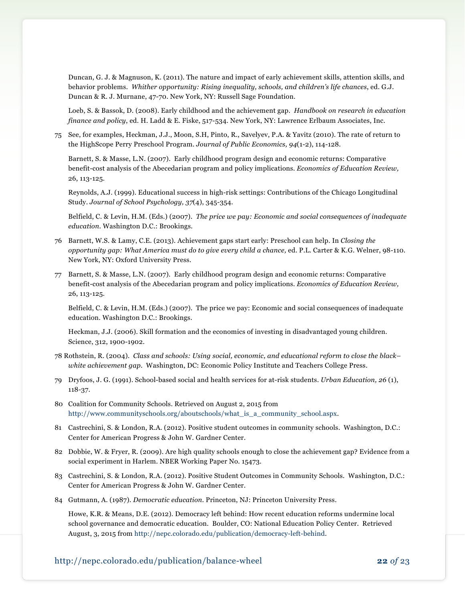Duncan, G. J. & Magnuson, K. (2011). The nature and impact of early achievement skills, attention skills, and behavior problems. *Whither opportunity: Rising inequality, schools, and children's life chances*, ed. G.J. Duncan & R. J. Murnane, 47-70. New York, NY: Russell Sage Foundation.

Loeb, S. & Bassok, D. (2008). Early childhood and the achievement gap. *Handbook on research in education finance and policy*, ed. H. Ladd & E. Fiske, 517-534. New York, NY: Lawrence Erlbaum Associates, Inc.

75 See, for examples, Heckman, J.J., Moon, S.H, Pinto, R., Savelyev, P.A. & Yavitz (2010). The rate of return to the HighScope Perry Preschool Program. *Journal of Public Economics, 94*(1-2), 114-128.

Barnett, S. & Masse, L.N. (2007). Early childhood program design and economic returns: Comparative benefit-cost analysis of the Abecedarian program and policy implications. *Economics of Education Review,*  26, 113-125.

Reynolds, A.J. (1999). Educational success in high-risk settings: Contributions of the Chicago Longitudinal Study. *Journal of School Psychology, 37*(4), 345-354.

Belfield, C. & Levin, H.M. (Eds.) (2007). *The price we pay: Economic and social consequences of inadequate education.* Washington D.C.: Brookings.

- 76 Barnett, W.S. & Lamy, C.E. (2013). Achievement gaps start early: Preschool can help. In *Closing the opportunity gap: What America must do to give every child a chance,* ed. P.L. Carter & K.G. Welner, 98-110. New York, NY: Oxford University Press.
- 77 Barnett, S. & Masse, L.N. (2007). Early childhood program design and economic returns: Comparative benefit-cost analysis of the Abecedarian program and policy implications. *Economics of Education Review,*  26, 113-125.

Belfield, C. & Levin, H.M. (Eds.) (2007). The price we pay: Economic and social consequences of inadequate education. Washington D.C.: Brookings.

Heckman, J.J. (2006). Skill formation and the economics of investing in disadvantaged young children. Science, 312, 1900-1902.

- 78 Rothstein, R. (2004). *Class and schools: Using social, economic, and educational reform to close the black– white achievement gap*. Washington, DC: Economic Policy Institute and Teachers College Press.
- 79 Dryfoos, J. G. (1991). School-based social and health services for at-risk students. *Urban Education, 26* (1), 118-37.
- 80 Coalition for Community Schools. Retrieved on August 2, 2015 from http://www.communityschools.org/aboutschools/what\_is\_a\_community\_school.aspx.
- 81 Castrechini, S. & London, R.A. (2012). Positive student outcomes in community schools. Washington, D.C.: Center for American Progress & John W. Gardner Center.
- 82 Dobbie, W. & Fryer, R. (2009). Are high quality schools enough to close the achievement gap? Evidence from a social experiment in Harlem. NBER Working Paper No. 15473.
- 83 Castrechini, S. & London, R.A. (2012). Positive Student Outcomes in Community Schools. Washington, D.C.: Center for American Progress & John W. Gardner Center.
- 84 Gutmann, A. (1987). *Democratic education.* Princeton, NJ: Princeton University Press.

Howe, K.R. & Means, D.E. (2012). Democracy left behind: How recent education reforms undermine local school governance and democratic education. Boulder, CO: National Education Policy Center. Retrieved August, 3, 2015 from http://nepc.colorado.edu/publication/democracy-left-behind.

http://nepc.colorado.edu/publication/balance-wheel **22** *of* 23